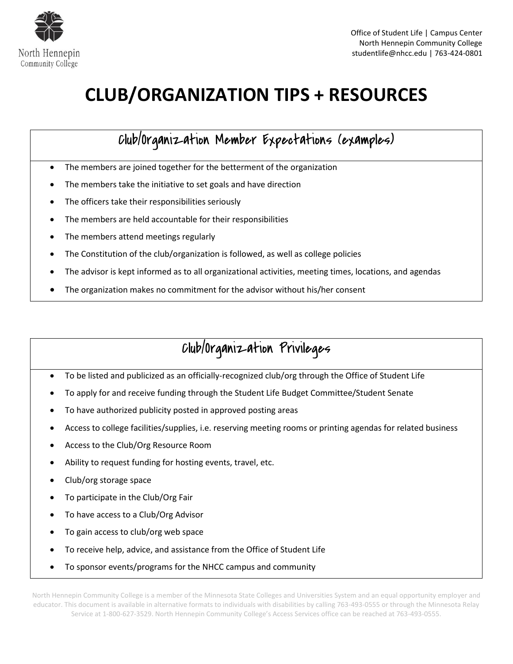

# **CLUB/ORGANIZATION TIPS + RESOURCES**

## Club/Organization Member Expectations (examples)

- The members are joined together for the betterment of the organization
- The members take the initiative to set goals and have direction
- The officers take their responsibilities seriously
- The members are held accountable for their responsibilities
- The members attend meetings regularly
- The Constitution of the club/organization is followed, as well as college policies
- The advisor is kept informed as to all organizational activities, meeting times, locations, and agendas
- The organization makes no commitment for the advisor without his/her consent

## Club/Organization Privileges

- To be listed and publicized as an officially-recognized club/org through the Office of Student Life
- To apply for and receive funding through the Student Life Budget Committee/Student Senate
- To have authorized publicity posted in approved posting areas
- Access to college facilities/supplies, i.e. reserving meeting rooms or printing agendas for related business
- Access to the Club/Org Resource Room
- Ability to request funding for hosting events, travel, etc.
- Club/org storage space
- To participate in the Club/Org Fair
- To have access to a Club/Org Advisor
- To gain access to club/org web space
- To receive help, advice, and assistance from the Office of Student Life
- To sponsor events/programs for the NHCC campus and community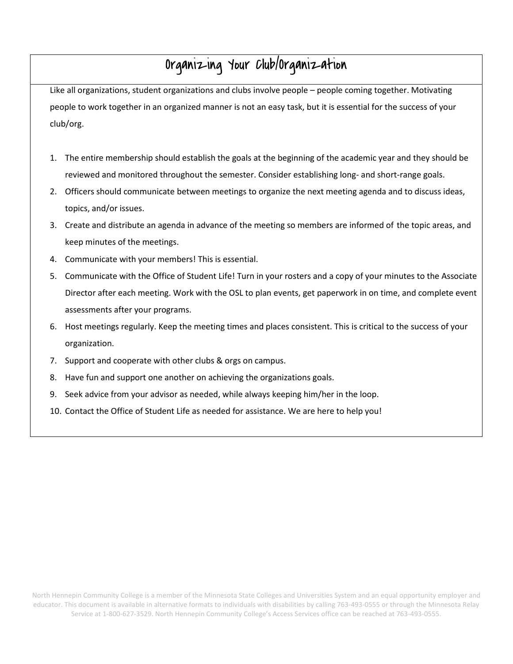## Organizing Your Club/Organization

Like all organizations, student organizations and clubs involve people – people coming together. Motivating people to work together in an organized manner is not an easy task, but it is essential for the success of your club/org.

- 1. The entire membership should establish the goals at the beginning of the academic year and they should be reviewed and monitored throughout the semester. Consider establishing long- and short-range goals.
- 2. Officers should communicate between meetings to organize the next meeting agenda and to discuss ideas, topics, and/or issues.
- 3. Create and distribute an agenda in advance of the meeting so members are informed of the topic areas, and keep minutes of the meetings.
- 4. Communicate with your members! This is essential.
- 5. Communicate with the Office of Student Life! Turn in your rosters and a copy of your minutes to the Associate Director after each meeting. Work with the OSL to plan events, get paperwork in on time, and complete event assessments after your programs.
- 6. Host meetings regularly. Keep the meeting times and places consistent. This is critical to the success of your organization.
- 7. Support and cooperate with other clubs & orgs on campus.
- 8. Have fun and support one another on achieving the organizations goals.
- 9. Seek advice from your advisor as needed, while always keeping him/her in the loop.
- 10. Contact the Office of Student Life as needed for assistance. We are here to help you!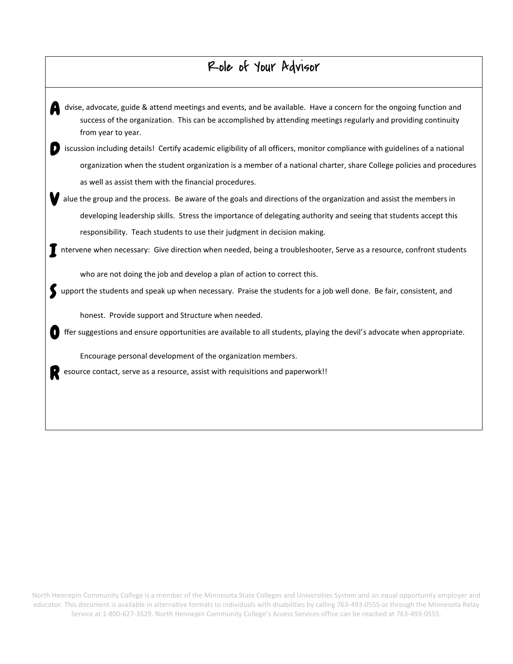